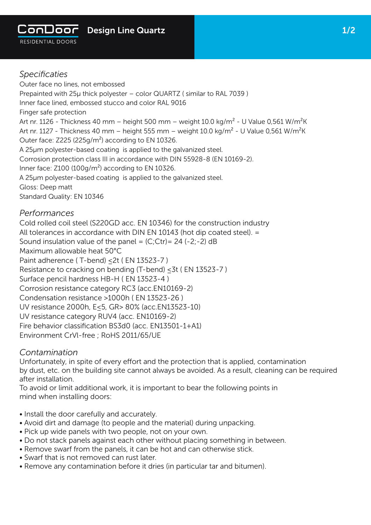

Outer face no lines, not embossed Prepainted with 25μ thick polyester – color QUARTZ ( similar to RAL 7039 ) Inner face lined, embossed stucco and color RAL 9016 Finger safe protection Art nr. 1126 - Thickness 40 mm – height 500 mm – weight 10.0 kg/m<sup>2</sup> - U Value 0,561 W/m<sup>2</sup>K Art nr. 1127 - Thickness 40 mm – height 555 mm – weight 10.0 kg/m<sup>2</sup> - U Value 0,561 W/m<sup>2</sup>K Outer face: Z225 (225g/m²) according to EN 10326. A 25µm polyester-based coating is applied to the galvanized steel. Corrosion protection class III in accordance with DIN 55928-8 (EN 10169-2). Inner face: Z100 (100g/m<sup>2</sup>) according to EN 10326. A 25µm polyester-based coating is applied to the galvanized steel. Gloss: Deep matt Standard Quality: EN 10346

## *Performances*

Cold rolled coil steel (S220GD acc. EN 10346) for the construction industry All tolerances in accordance with DIN EN 10143 (hot dip coated steel). = Sound insulation value of the panel =  $(C;)$ Ctr) = 24 (-2;-2) dB Maximum allowable heat 50°C Paint adherence (T-bend) < 2t ( EN 13523-7 ) Resistance to cracking on bending (T-bend) ≤3t ( EN 13523-7 ) Surface pencil hardness HB-H ( EN 13523-4 ) Corrosion resistance category RC3 (acc.EN10169-2) Condensation resistance >1000h ( EN 13523-26 ) UV resistance 2000h, E≤5, GR> 80% (acc.EN13523-10) UV resistance category RUV4 (acc. EN10169-2) Fire behavior classification BS3d0 (acc. EN13501-1+A1) Environment CrVl-free ; RoHS 2011/65/UE

## *Contamination*

Unfortunately, in spite of every effort and the protection that is applied, contamination by dust, etc. on the building site cannot always be avoided. As a result, cleaning can be required after installation.

To avoid or limit additional work, it is important to bear the following points in mind when installing doors:

- Install the door carefully and accurately.
- Avoid dirt and damage (to people and the material) during unpacking.
- Pick up wide panels with two people, not on your own.
- Do not stack panels against each other without placing something in between.
- Remove swarf from the panels, it can be hot and can otherwise stick.
- Swarf that is not removed can rust later.
- Remove any contamination before it dries (in particular tar and bitumen).